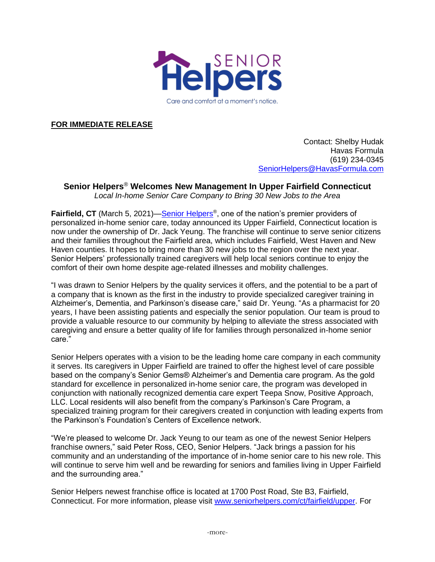

**FOR IMMEDIATE RELEASE**

Contact: Shelby Hudak Havas Formula (619) 234-0345 [SeniorHelpers@HavasFormula.com](mailto:SeniorHelpers@havasformula.com)

## **Senior Helpers**® **Welcomes New Management In Upper Fairfield Connecticut**

*Local In-home Senior Care Company to Bring 30 New Jobs to the Area*

Fairfield, CT (March 5, 2021)[—Senior Helpers](http://www.seniorhelpers.com/)<sup>®</sup>, one of the nation's premier providers of personalized in-home senior care, today announced its Upper Fairfield, Connecticut location is now under the ownership of Dr. Jack Yeung. The franchise will continue to serve senior citizens and their families throughout the Fairfield area, which includes Fairfield, West Haven and New Haven counties. It hopes to bring more than 30 new jobs to the region over the next year. Senior Helpers' professionally trained caregivers will help local seniors continue to enjoy the comfort of their own home despite age-related illnesses and mobility challenges.

"I was drawn to Senior Helpers by the quality services it offers, and the potential to be a part of a company that is known as the first in the industry to provide specialized caregiver training in Alzheimer's, Dementia, and Parkinson's disease care," said Dr. Yeung. "As a pharmacist for 20 years, I have been assisting patients and especially the senior population. Our team is proud to provide a valuable resource to our community by helping to alleviate the stress associated with caregiving and ensure a better quality of life for families through personalized in-home senior care."

Senior Helpers operates with a vision to be the leading home care company in each community it serves. Its caregivers in Upper Fairfield are trained to offer the highest level of care possible based on the company's Senior Gems® Alzheimer's and Dementia care program. As the gold standard for excellence in personalized in-home senior care, the program was developed in conjunction with nationally recognized dementia care expert Teepa Snow, Positive Approach, LLC. Local residents will also benefit from the company's Parkinson's Care Program, a specialized training program for their caregivers created in conjunction with leading experts from the Parkinson's Foundation's Centers of Excellence network.

"We're pleased to welcome Dr. Jack Yeung to our team as one of the newest Senior Helpers franchise owners," said Peter Ross, CEO, Senior Helpers. "Jack brings a passion for his community and an understanding of the importance of in-home senior care to his new role. This will continue to serve him well and be rewarding for seniors and families living in Upper Fairfield and the surrounding area."

Senior Helpers newest franchise office is located at 1700 Post Road, Ste B3, Fairfield, Connecticut. For more information, please visit [www.seniorhelpers.com/ct/fairfield/upper.](http://www.seniorhelpers.com/ct/fairfield/upper) For